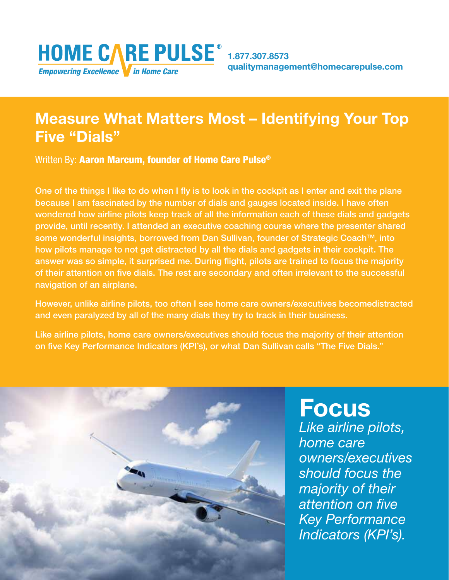# Measure What Matters Most – Identifying Your Top Five "Dials"

Written By: Aaron Marcum, founder of Home Care Pulse<sup>®</sup>

One of the things I like to do when I fly is to look in the cockpit as I enter and exit the plane because I am fascinated by the number of dials and gauges located inside. I have often wondered how airline pilots keep track of all the information each of these dials and gadgets provide, until recently. I attended an executive coaching course where the presenter shared some wonderful insights, borrowed from Dan Sullivan, founder of Strategic Coach<sup>™</sup>, into how pilots manage to not get distracted by all the dials and gadgets in their cockpit. The answer was so simple, it surprised me. During flight, pilots are trained to focus the majority of their attention on five dials. The rest are secondary and often irrelevant to the successful navigation of an airplane.

However, unlike airline pilots, too often I see home care owners/executives becomedistracted and even paralyzed by all of the many dials they try to track in their business.

Like airline pilots, home care owners/executives should focus the majority of their attention on five Key Performance Indicators (KPI's), or what Dan Sullivan calls "The Five Dials."



## **Focus** *Like airline pilots, home care owners/executives should focus the majority of their attention on five Key Performance Indicators (KPI's).*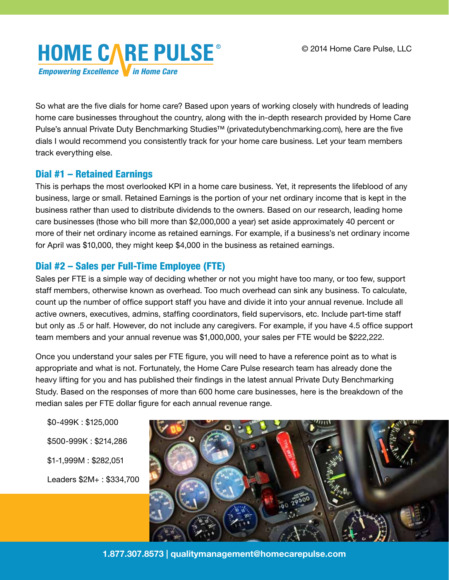

So what are the five dials for home care? Based upon years of working closely with hundreds of leading home care businesses throughout the country, along with the in-depth research provided by Home Care Pulse's annual Private Duty Benchmarking Studies<sup>™</sup> (privatedutybenchmarking.com), here are the five dials I would recommend you consistently track for your home care business. Let your team members track everything else.

#### Dial #1 – Retained Earnings

This is perhaps the most overlooked KPI in a home care business. Yet, it represents the lifeblood of any business, large or small. Retained Earnings is the portion of your net ordinary income that is kept in the business rather than used to distribute dividends to the owners. Based on our research, leading home care businesses (those who bill more than \$2,000,000 a year) set aside approximately 40 percent or more of their net ordinary income as retained earnings. For example, if a business's net ordinary income for April was \$10,000, they might keep \$4,000 in the business as retained earnings.

### Dial #2 – Sales per Full-Time Employee (FTE)

Sales per FTE is a simple way of deciding whether or not you might have too many, or too few, support staff members, otherwise known as overhead. Too much overhead can sink any business. To calculate, count up the number of office support staff you have and divide it into your annual revenue. Include all active owners, executives, admins, staffing coordinators, field supervisors, etc. Include part-time staff but only as .5 or half. However, do not include any caregivers. For example, if you have 4.5 office support team members and your annual revenue was \$1,000,000, your sales per FTE would be \$222,222.

Once you understand your sales per FTE figure, you will need to have a reference point as to what is appropriate and what is not. Fortunately, the Home Care Pulse research team has already done the heavy lifting for you and has published their findings in the latest annual Private Duty Benchmarking Study. Based on the responses of more than 600 home care businesses, here is the breakdown of the median sales per FTE dollar figure for each annual revenue range.

\$0-499K : \$125,000 \$500-999K : \$214,286 \$1-1,999M : \$282,051 Leaders \$2M+ : \$334,700



1.877.307.8573 | qualitymanagement@homecarepulse.com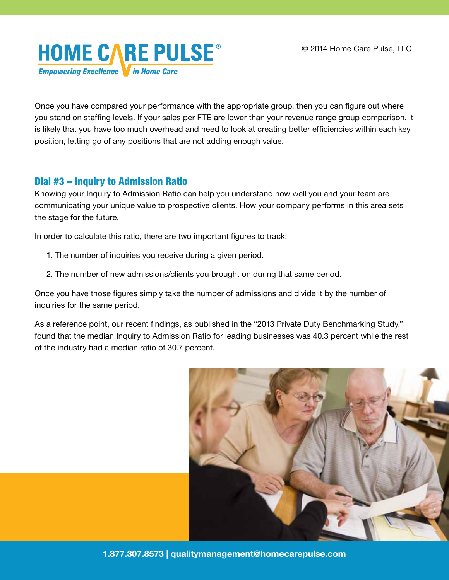

Once you have compared your performance with the appropriate group, then you can figure out where you stand on staffing levels. If your sales per FTE are lower than your revenue range group comparison, it is likely that you have too much overhead and need to look at creating better efficiencies within each key position, letting go of any positions that are not adding enough value.

#### Dial #3 – Inquiry to Admission Ratio

Knowing your Inquiry to Admission Ratio can help you understand how well you and your team are communicating your unique value to prospective clients. How your company performs in this area sets the stage for the future.

In order to calculate this ratio, there are two important figures to track:

- 1. The number of inquiries you receive during a given period.
- 2. The number of new admissions/clients you brought on during that same period.

Once you have those figures simply take the number of admissions and divide it by the number of inquiries for the same period.

As a reference point, our recent findings, as published in the "2013 Private Duty Benchmarking Study," found that the median Inquiry to Admission Ratio for leading businesses was 40.3 percent while the rest of the industry had a median ratio of 30.7 percent.



1.877.307.8573 | qualitymanagement@homecarepulse.com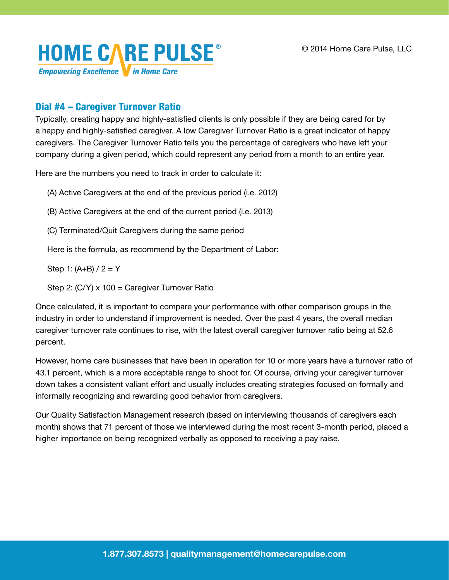

#### Dial #4 – Caregiver Turnover Ratio

Typically, creating happy and highly-satisfied clients is only possible if they are being cared for by a happy and highly-satisfied caregiver. A low Caregiver Turnover Ratio is a great indicator of happy caregivers. The Caregiver Turnover Ratio tells you the percentage of caregivers who have left your company during a given period, which could represent any period from a month to an entire year.

Here are the numbers you need to track in order to calculate it:

(A) Active Caregivers at the end of the previous period (i.e. 2012)

- (B) Active Caregivers at the end of the current period (i.e. 2013)
- (C) Terminated/Quit Caregivers during the same period

Here is the formula, as recommend by the Department of Labor:

Step 1:  $(A+B)/2 = Y$ 

Step 2: (C/Y) x 100 = Caregiver Turnover Ratio

Once calculated, it is important to compare your performance with other comparison groups in the industry in order to understand if improvement is needed. Over the past 4 years, the overall median caregiver turnover rate continues to rise, with the latest overall caregiver turnover ratio being at 52.6 percent.

However, home care businesses that have been in operation for 10 or more years have a turnover ratio of 43.1 percent, which is a more acceptable range to shoot for. Of course, driving your caregiver turnover down takes a consistent valiant effort and usually includes creating strategies focused on formally and informally recognizing and rewarding good behavior from caregivers.

Our Quality Satisfaction Management research (based on interviewing thousands of caregivers each month) shows that 71 percent of those we interviewed during the most recent 3-month period, placed a higher importance on being recognized verbally as opposed to receiving a pay raise.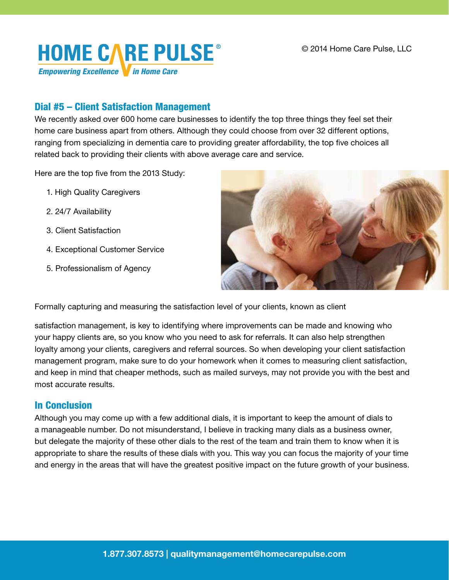

#### Dial #5 – Client Satisfaction Management

We recently asked over 600 home care businesses to identify the top three things they feel set their home care business apart from others. Although they could choose from over 32 different options, ranging from specializing in dementia care to providing greater affordability, the top five choices all related back to providing their clients with above average care and service.

Here are the top five from the 2013 Study:

- 1. High Quality Caregivers
- 2. 24/7 Availability
- 3. Client Satisfaction
- 4. Exceptional Customer Service
- 5. Professionalism of Agency



Formally capturing and measuring the satisfaction level of your clients, known as client

satisfaction management, is key to identifying where improvements can be made and knowing who your happy clients are, so you know who you need to ask for referrals. It can also help strengthen loyalty among your clients, caregivers and referral sources. So when developing your client satisfaction management program, make sure to do your homework when it comes to measuring client satisfaction, and keep in mind that cheaper methods, such as mailed surveys, may not provide you with the best and most accurate results.

#### In Conclusion

Although you may come up with a few additional dials, it is important to keep the amount of dials to a manageable number. Do not misunderstand, I believe in tracking many dials as a business owner, but delegate the majority of these other dials to the rest of the team and train them to know when it is appropriate to share the results of these dials with you. This way you can focus the majority of your time and energy in the areas that will have the greatest positive impact on the future growth of your business.